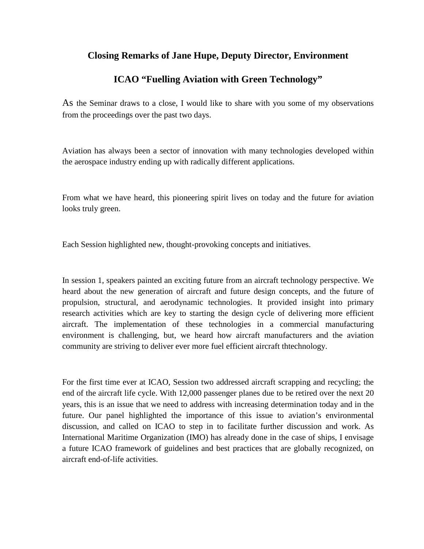## **Closing Remarks of Jane Hupe, Deputy Director, Environment**

## **ICAO "Fuelling Aviation with Green Technology"**

As the Seminar draws to a close, I would like to share with you some of my observations from the proceedings over the past two days.

Aviation has always been a sector of innovation with many technologies developed within the aerospace industry ending up with radically different applications.

From what we have heard, this pioneering spirit lives on today and the future for aviation looks truly green.

Each Session highlighted new, thought-provoking concepts and initiatives.

In session 1, speakers painted an exciting future from an aircraft technology perspective. We heard about the new generation of aircraft and future design concepts, and the future of propulsion, structural, and aerodynamic technologies. It provided insight into primary research activities which are key to starting the design cycle of delivering more efficient aircraft. The implementation of these technologies in a commercial manufacturing environment is challenging, but, we heard how aircraft manufacturers and the aviation community are striving to deliver ever more fuel efficient aircraft thtechnology.

For the first time ever at ICAO, Session two addressed aircraft scrapping and recycling; the end of the aircraft life cycle. With 12,000 passenger planes due to be retired over the next 20 years, this is an issue that we need to address with increasing determination today and in the future. Our panel highlighted the importance of this issue to aviation's environmental discussion, and called on ICAO to step in to facilitate further discussion and work. As International Maritime Organization (IMO) has already done in the case of ships, I envisage a future ICAO framework of guidelines and best practices that are globally recognized, on aircraft end-of-life activities.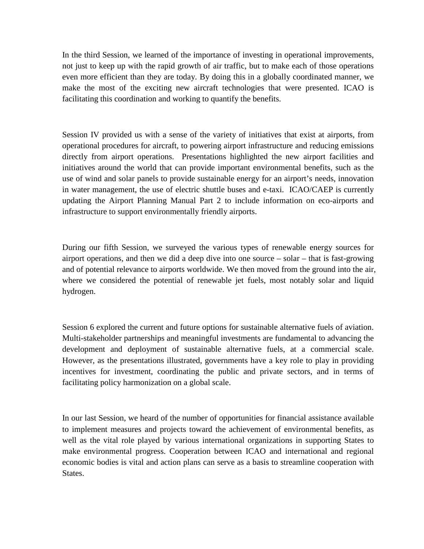In the third Session, we learned of the importance of investing in operational improvements, not just to keep up with the rapid growth of air traffic, but to make each of those operations even more efficient than they are today. By doing this in a globally coordinated manner, we make the most of the exciting new aircraft technologies that were presented. ICAO is facilitating this coordination and working to quantify the benefits.

Session IV provided us with a sense of the variety of initiatives that exist at airports, from operational procedures for aircraft, to powering airport infrastructure and reducing emissions directly from airport operations. Presentations highlighted the new airport facilities and initiatives around the world that can provide important environmental benefits, such as the use of wind and solar panels to provide sustainable energy for an airport's needs, innovation in water management, the use of electric shuttle buses and e-taxi. ICAO/CAEP is currently updating the Airport Planning Manual Part 2 to include information on eco-airports and infrastructure to support environmentally friendly airports.

During our fifth Session, we surveyed the various types of renewable energy sources for airport operations, and then we did a deep dive into one source – solar – that is fast-growing and of potential relevance to airports worldwide. We then moved from the ground into the air, where we considered the potential of renewable jet fuels, most notably solar and liquid hydrogen.

Session 6 explored the current and future options for sustainable alternative fuels of aviation. Multi-stakeholder partnerships and meaningful investments are fundamental to advancing the development and deployment of sustainable alternative fuels, at a commercial scale. However, as the presentations illustrated, governments have a key role to play in providing incentives for investment, coordinating the public and private sectors, and in terms of facilitating policy harmonization on a global scale.

In our last Session, we heard of the number of opportunities for financial assistance available to implement measures and projects toward the achievement of environmental benefits, as well as the vital role played by various international organizations in supporting States to make environmental progress. Cooperation between ICAO and international and regional economic bodies is vital and action plans can serve as a basis to streamline cooperation with States.